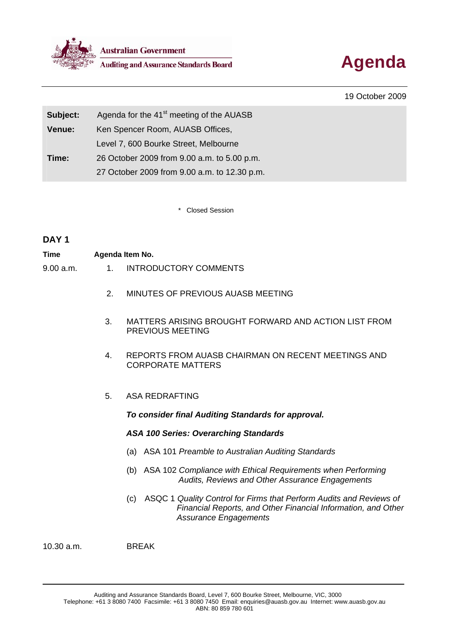



19 October 2009

| Subject: | Agenda for the 41 <sup>st</sup> meeting of the AUASB |  |  |
|----------|------------------------------------------------------|--|--|
| Venue:   | Ken Spencer Room, AUASB Offices,                     |  |  |
|          | Level 7, 600 Bourke Street, Melbourne                |  |  |
| Time:    | 26 October 2009 from 9.00 a.m. to 5.00 p.m.          |  |  |
|          | 27 October 2009 from 9.00 a.m. to 12.30 p.m.         |  |  |

Closed Session

# **DAY 1**

| Time      | Agenda Item No. |                       |  |
|-----------|-----------------|-----------------------|--|
| 9.00 a.m. |                 | INTRODUCTORY COMMENTS |  |

- 2. MINUTES OF PREVIOUS AUASB MEETING
- 3. MATTERS ARISING BROUGHT FORWARD AND ACTION LIST FROM PREVIOUS MEETING
- 4. REPORTS FROM AUASB CHAIRMAN ON RECENT MEETINGS AND CORPORATE MATTERS
- 5. ASA REDRAFTING

*To consider final Auditing Standards for approval.* 

## *ASA 100 Series: Overarching Standards*

- (a) ASA 101 *Preamble to Australian Auditing Standards*
- (b) ASA 102 *Compliance with Ethical Requirements when Performing Audits, Reviews and Other Assurance Engagements*
- (c) ASQC 1 *Quality Control for Firms that Perform Audits and Reviews of Financial Reports, and Other Financial Information, and Other Assurance Engagements*

10.30 a.m. BREAK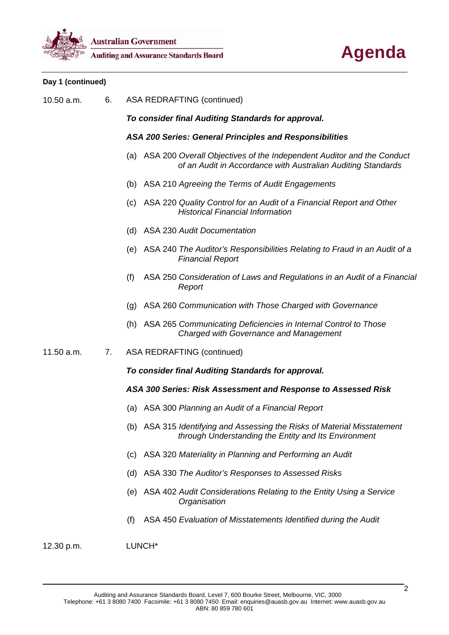



# **Day 1 (continued)**

| 10.50 a.m. | <b>ASA REDRAFTING (continued)</b>                  |                                                                |  |                                                                                                                                       |  |
|------------|----------------------------------------------------|----------------------------------------------------------------|--|---------------------------------------------------------------------------------------------------------------------------------------|--|
|            | To consider final Auditing Standards for approval. |                                                                |  |                                                                                                                                       |  |
|            |                                                    | <b>ASA 200 Series: General Principles and Responsibilities</b> |  |                                                                                                                                       |  |
|            |                                                    | (a)                                                            |  | ASA 200 Overall Objectives of the Independent Auditor and the Conduct<br>of an Audit in Accordance with Australian Auditing Standards |  |
|            |                                                    |                                                                |  | (b) ASA 210 Agreeing the Terms of Audit Engagements                                                                                   |  |
|            |                                                    | (c)                                                            |  | ASA 220 Quality Control for an Audit of a Financial Report and Other<br><b>Historical Financial Information</b>                       |  |
|            |                                                    |                                                                |  | (d) ASA 230 Audit Documentation                                                                                                       |  |
|            |                                                    |                                                                |  | (e) ASA 240 The Auditor's Responsibilities Relating to Fraud in an Audit of a<br><b>Financial Report</b>                              |  |
|            |                                                    | (f)                                                            |  | ASA 250 Consideration of Laws and Regulations in an Audit of a Financial<br>Report                                                    |  |
|            |                                                    | (g)                                                            |  | ASA 260 Communication with Those Charged with Governance                                                                              |  |
|            |                                                    |                                                                |  | (h) ASA 265 Communicating Deficiencies in Internal Control to Those<br><b>Charged with Governance and Management</b>                  |  |
| 11.50 a.m. | 7.                                                 |                                                                |  | <b>ASA REDRAFTING (continued)</b>                                                                                                     |  |
|            |                                                    |                                                                |  | To consider final Auditing Standards for approval.                                                                                    |  |
|            |                                                    |                                                                |  | ASA 300 Series: Risk Assessment and Response to Assessed Risk                                                                         |  |
|            |                                                    | (a)                                                            |  | ASA 300 Planning an Audit of a Financial Report                                                                                       |  |
|            |                                                    |                                                                |  | (b) ASA 315 Identifying and Assessing the Risks of Material Misstatement<br>through Understanding the Entity and Its Environment      |  |
|            |                                                    | (c)                                                            |  | ASA 320 Materiality in Planning and Performing an Audit                                                                               |  |
|            |                                                    | (d)                                                            |  | ASA 330 The Auditor's Responses to Assessed Risks                                                                                     |  |
|            |                                                    | (e)                                                            |  | ASA 402 Audit Considerations Relating to the Entity Using a Service<br>Organisation                                                   |  |
|            |                                                    | (f)                                                            |  | ASA 450 Evaluation of Misstatements Identified during the Audit                                                                       |  |

12.30 p.m. LUNCH\*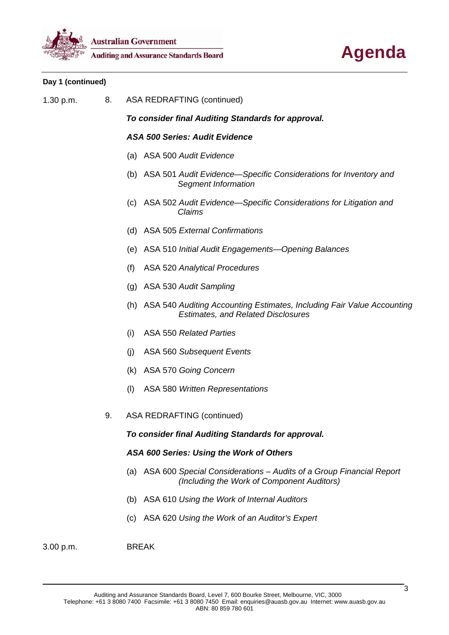



## **Day 1 (continued)**

1.30 p.m. 8. ASA REDRAFTING (continued)

*To consider final Auditing Standards for approval.* 

### *ASA 500 Series: Audit Evidence*

- (a) ASA 500 *Audit Evidence*
- (b) ASA 501 *Audit Evidence—Specific Considerations for Inventory and Segment Information*
- (c) ASA 502 *Audit Evidence—Specific Considerations for Litigation and Claims*
- (d) ASA 505 *External Confirmations*
- (e) ASA 510 *Initial Audit Engagements—Opening Balances*
- (f) ASA 520 *Analytical Procedures*
- (g) ASA 530 *Audit Sampling*
- (h) ASA 540 *Auditing Accounting Estimates, Including Fair Value Accounting Estimates, and Related Disclosures*
- (i) ASA 550 *Related Parties*
- (j) ASA 560 *Subsequent Events*
- (k) ASA 570 *Going Concern*
- (l) ASA 580 *Written Representations*
- 9. ASA REDRAFTING (continued)

## *To consider final Auditing Standards for approval.*

#### *ASA 600 Series: Using the Work of Others*

- (a) ASA 600 *Special Considerations Audits of a Group Financial Report (Including the Work of Component Auditors)*
- (b) ASA 610 *Using the Work of Internal Auditors*
- (c) ASA 620 *Using the Work of an Auditor's Expert*

3.00 p.m. BREAK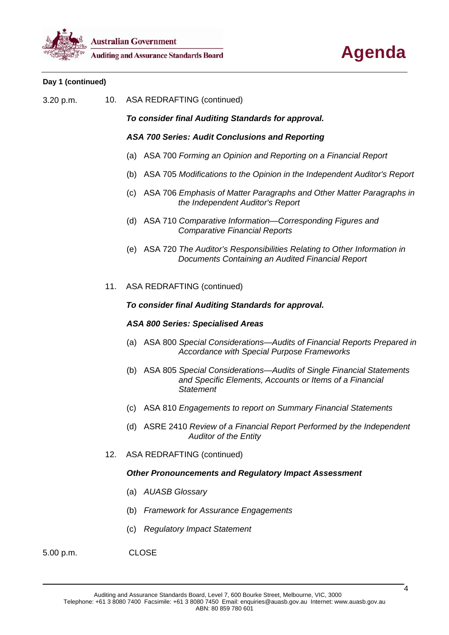



### **Day 1 (continued)**

3.20 p.m. 10. ASA REDRAFTING (continued)

*To consider final Auditing Standards for approval.* 

*ASA 700 Series: Audit Conclusions and Reporting* 

- (a) ASA 700 *Forming an Opinion and Reporting on a Financial Report*
- (b) ASA 705 *Modifications to the Opinion in the Independent Auditor's Report*
- (c) ASA 706 *Emphasis of Matter Paragraphs and Other Matter Paragraphs in the Independent Auditor's Report*
- (d) ASA 710 *Comparative Information—Corresponding Figures and Comparative Financial Reports*
- (e) ASA 720 *The Auditor's Responsibilities Relating to Other Information in Documents Containing an Audited Financial Report*
- 11. ASA REDRAFTING (continued)

### *To consider final Auditing Standards for approval.*

#### *ASA 800 Series: Specialised Areas*

- (a) ASA 800 *Special Considerations—Audits of Financial Reports Prepared in Accordance with Special Purpose Frameworks*
- (b) ASA 805 *Special Considerations—Audits of Single Financial Statements and Specific Elements, Accounts or Items of a Financial Statement*
- (c) ASA 810 *Engagements to report on Summary Financial Statements*
- (d) ASRE 2410 *Review of a Financial Report Performed by the Independent Auditor of the Entity*
- 12. ASA REDRAFTING (continued)

#### *Other Pronouncements and Regulatory Impact Assessment*

- (a) *AUASB Glossary*
- (b) *Framework for Assurance Engagements*
- (c) *Regulatory Impact Statement*
- 5.00 p.m. CLOSE